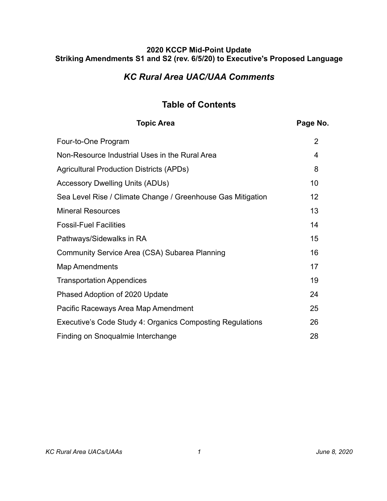# *KC Rural Area UAC/UAA Comments*

# **Table of Contents**

| <b>Topic Area</b>                                           | Page No. |
|-------------------------------------------------------------|----------|
| Four-to-One Program                                         | 2        |
| Non-Resource Industrial Uses in the Rural Area              | 4        |
| <b>Agricultural Production Districts (APDs)</b>             | 8        |
| <b>Accessory Dwelling Units (ADUs)</b>                      | 10       |
| Sea Level Rise / Climate Change / Greenhouse Gas Mitigation | 12       |
| <b>Mineral Resources</b>                                    | 13       |
| <b>Fossil-Fuel Facilities</b>                               | 14       |
| Pathways/Sidewalks in RA                                    | 15       |
| Community Service Area (CSA) Subarea Planning               | 16       |
| <b>Map Amendments</b>                                       | 17       |
| <b>Transportation Appendices</b>                            | 19       |
| Phased Adoption of 2020 Update                              | 24       |
| Pacific Raceways Area Map Amendment                         | 25       |
| Executive's Code Study 4: Organics Composting Regulations   | 26       |
| Finding on Snoqualmie Interchange                           | 28       |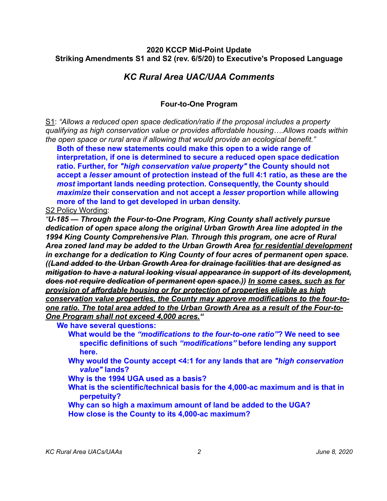## *KC Rural Area UAC/UAA Comments*

## <span id="page-1-0"></span>**Four-to-One Program**

S1: *"Allows a reduced open space dedication/ratio if the proposal includes a property qualifying as high conservation value or provides affordable housing….Allows roads within the open space or rural area if allowing that would provide an ecological benefit."* 

**Both of these new statements could make this open to a wide range of interpretation, if one is determined to secure a reduced open space dedication ratio. Further, for** *"high conservation value property"* **the County should not accept a** *lesser* **amount of protection instead of the full 4:1 ratio, as these are the**  *most* **important lands needing protection. Consequently, the County should**  *maximize* **their conservation and not accept a** *lesser* **proportion while allowing more of the land to get developed in urban density.**

S2 Policy Wording:

*"U-185 — Through the Four-to-One Program, King County shall actively pursue dedication of open space along the original Urban Growth Area line adopted in the 1994 King County Comprehensive Plan. Through this program, one acre of Rural Area zoned land may be added to the Urban Growth Area for residential development in exchange for a dedication to King County of four acres of permanent open space. ((Land added to the Urban Growth Area for drainage facilities that are designed as mitigation to have a natural looking visual appearance in support of its development, does not require dedication of permanent open space.)) In some cases, such as for provision of affordable housing or for protection of properties eligible as high conservation value properties, the County may approve modifications to the four-toone ratio. The total area added to the Urban Growth Area as a result of the Four-to-One Program shall not exceed 4,000 acres."*

**We have several questions:** 

- **What would be the** *"modifications to the four-to-one ratio"***? We need to see specific definitions of such** *"modifications"* **before lending any support here.**
- **Why would the County accept <4:1 for any lands that are** *"high conservation value"* **lands?**
- **Why is the 1994 UGA used as a basis?**
- **What is the scientific/technical basis for the 4,000-ac maximum and is that in perpetuity?**
- **Why can so high a maximum amount of land be added to the UGA? How close is the County to its 4,000-ac maximum?**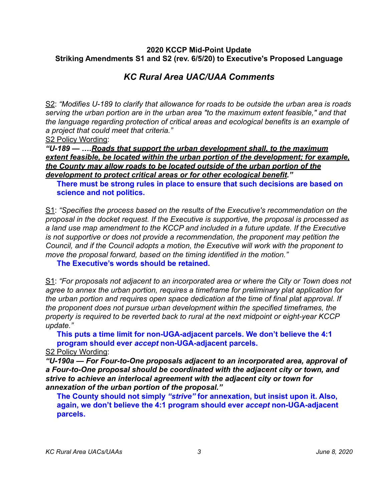# *KC Rural Area UAC/UAA Comments*

S2: *"Modifies U-189 to clarify that allowance for roads to be outside the urban area is roads serving the urban portion are in the urban area "to the maximum extent feasible," and that the language regarding protection of critical areas and ecological benefits is an example of a project that could meet that criteria."* 

S2 Policy Wording:

*"U-189 — ….Roads that support the urban development shall, to the maximum extent feasible, be located within the urban portion of the development; for example, the County may allow roads to be located outside of the urban portion of the development to protect critical areas or for other ecological benefit."*

**There must be strong rules in place to ensure that such decisions are based on science and not politics.** 

S1: *"Specifies the process based on the results of the Executive's recommendation on the proposal in the docket request. If the Executive is supportive, the proposal is processed as a land use map amendment to the KCCP and included in a future update. If the Executive is not supportive or does not provide a recommendation, the proponent may petition the Council, and if the Council adopts a motion, the Executive will work with the proponent to move the proposal forward, based on the timing identified in the motion."* 

**The Executive's words should be retained.**

S1: *"For proposals not adjacent to an incorporated area or where the City or Town does not agree to annex the urban portion, requires a timeframe for preliminary plat application for the urban portion and requires open space dedication at the time of final plat approval. If the proponent does not pursue urban development within the specified timeframes, the property is required to be reverted back to rural at the next midpoint or eight-year KCCP update."* 

**This puts a time limit for non-UGA-adjacent parcels. We don't believe the 4:1 program should ever** *accept* **non-UGA-adjacent parcels.** 

S2 Policy Wording:

*"U-190a — For Four-to-One proposals adjacent to an incorporated area, approval of a Four-to-One proposal should be coordinated with the adjacent city or town, and strive to achieve an interlocal agreement with the adjacent city or town for annexation of the urban portion of the proposal."*

**The County should not simply** *"strive"* **for annexation, but insist upon it. Also, again, we don't believe the 4:1 program should ever** *accept* **non-UGA-adjacent parcels.**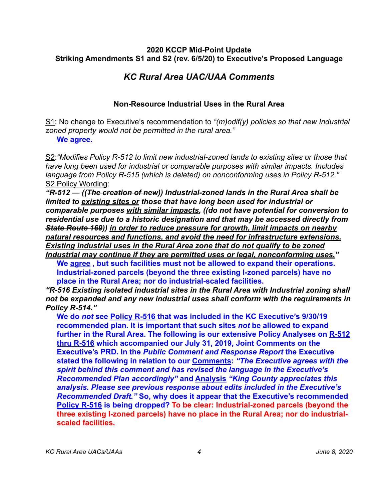# *KC Rural Area UAC/UAA Comments*

## <span id="page-3-0"></span>**Non-Resource Industrial Uses in the Rural Area**

S1: No change to Executive's recommendation to *"(m)odif(y) policies so that new Industrial zoned property would not be permitted in the rural area."* 

#### **We agree.**

S2:*"Modifies Policy R-512 to limit new industrial-zoned lands to existing sites or those that have long been used for industrial or comparable purposes with similar impacts. Includes language from Policy R-515 (which is deleted) on nonconforming uses in Policy R-512."*  S2 Policy Wording:

*"R-512 — ((The creation of new)) Industrial-zoned lands in the Rural Area shall be limited to existing sites or those that have long been used for industrial or comparable purposes with similar impacts, ((do not have potential for conversion to residential use due to a historic designation and that may be accessed directly from State Route 169)) in order to reduce pressure for growth, limit impacts on nearby natural resources and functions, and avoid the need for infrastructure extensions. Existing industrial uses in the Rural Area zone that do not qualify to be zoned Industrial may continue if they are permitted uses or legal, nonconforming uses."*

**We agree , but such facilities must not be allowed to expand their operations. Industrial-zoned parcels (beyond the three existing I-zoned parcels) have no place in the Rural Area; nor do industrial-scaled facilities.** 

*"R-516 Existing isolated industrial sites in the Rural Area with Industrial zoning shall not be expanded and any new industrial uses shall conform with the requirements in Policy R-514."*

**We do** *not* **see Policy R-516 that was included in the KC Executive's 9/30/19 recommended plan. It is important that such sites** *not* **be allowed to expand further in the Rural Area. The following is our extensive Policy Analyses on R-512 thru R-516 which accompanied our July 31, 2019, Joint Comments on the Executive's PRD. In the** *Public Comment and Response Report* **the Executive stated the following in relation to our Comments:** *"The Executive agrees with the spirit behind this comment and has revised the language in the Executive's Recommended Plan accordingly"* **and Analysis** *"King County appreciates this analysis. Please see previous response about edits included in the Executive's Recommended Draft."* **So, why does it appear that the Executive's recommended Policy R-516 is being dropped? To be clear: Industrial-zoned parcels (beyond the three existing I-zoned parcels) have no place in the Rural Area; nor do industrialscaled facilities.**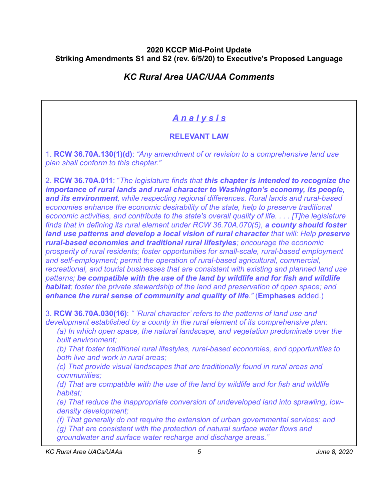# *KC Rural Area UAC/UAA Comments*

# *A n a l y s i s*

## **RELEVANT LAW**

1. **RCW 36.70A.130(1)(d)**: *"Any amendment of or revision to a comprehensive land use plan shall conform to this chapter."* 

2. **RCW 36.70A.011**: "*The legislature finds that this chapter is intended to recognize the importance of rural lands and rural character to Washington's economy, its people, and its environment, while respecting regional differences. Rural lands and rural-based economies enhance the economic desirability of the state, help to preserve traditional economic activities, and contribute to the state's overall quality of life. . . . [T]he legislature finds that in defining its rural element under RCW 36.70A.070(5), a county should foster land use patterns and develop a local vision of rural character that will: Help preserve rural-based economies and traditional rural lifestyles; encourage the economic prosperity of rural residents; foster opportunities for small-scale, rural-based employment and self-employment; permit the operation of rural-based agricultural, commercial, recreational, and tourist businesses that are consistent with existing and planned land use patterns; be compatible with the use of the land by wildlife and for fish and wildlife habitat; foster the private stewardship of the land and preservation of open space; and enhance the rural sense of community and quality of life."* (**Emphases** added.)

3. **RCW 36.70A.030(16)**: *" 'Rural character' refers to the patterns of land use and development established by a county in the rural element of its comprehensive plan:* 

*(a) In which open space, the natural landscape, and vegetation predominate over the built environment;* 

*(b) That foster traditional rural lifestyles, rural-based economies, and opportunities to both live and work in rural areas;* 

*(c) That provide visual landscapes that are traditionally found in rural areas and communities;* 

*(d) That are compatible with the use of the land by wildlife and for fish and wildlife habitat;* 

*(e) That reduce the inappropriate conversion of undeveloped land into sprawling, lowdensity development;* 

*(f) That generally do not require the extension of urban governmental services; and* 

*(g) That are consistent with the protection of natural surface water flows and groundwater and surface water recharge and discharge areas."* 

*KC Rural Area UACs/UAAs 5 June 8, 2020*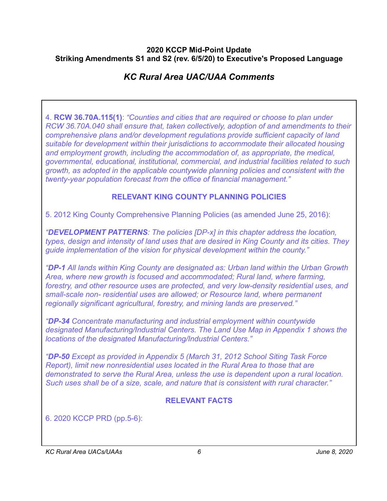# *KC Rural Area UAC/UAA Comments*

4. **RCW 36.70A.115(1)**: *"Counties and cities that are required or choose to plan under RCW 36.70A.040 shall ensure that, taken collectively, adoption of and amendments to their comprehensive plans and/or development regulations provide sufficient capacity of land suitable for development within their jurisdictions to accommodate their allocated housing and employment growth, including the accommodation of, as appropriate, the medical, governmental, educational, institutional, commercial, and industrial facilities related to such growth, as adopted in the applicable countywide planning policies and consistent with the twenty-year population forecast from the office of financial management."* 

## **RELEVANT KING COUNTY PLANNING POLICIES**

5. 2012 King County Comprehensive Planning Policies (as amended June 25, 2016):

*"DEVELOPMENT PATTERNS: The policies [DP-x] in this chapter address the location, types, design and intensity of land uses that are desired in King County and its cities. They guide implementation of the vision for physical development within the county."* 

*"DP-1 All lands within King County are designated as: Urban land within the Urban Growth Area, where new growth is focused and accommodated; Rural land, where farming, forestry, and other resource uses are protected, and very low-density residential uses, and small-scale non- residential uses are allowed; or Resource land, where permanent regionally significant agricultural, forestry, and mining lands are preserved."* 

*"DP-34 Concentrate manufacturing and industrial employment within countywide designated Manufacturing/Industrial Centers. The Land Use Map in Appendix 1 shows the locations of the designated Manufacturing/Industrial Centers."* 

*"DP-50 Except as provided in Appendix 5 (March 31, 2012 School Siting Task Force Report), limit new nonresidential uses located in the Rural Area to those that are demonstrated to serve the Rural Area, unless the use is dependent upon a rural location. Such uses shall be of a size, scale, and nature that is consistent with rural character."* 

## **RELEVANT FACTS**

6. 2020 KCCP PRD (pp.5-6):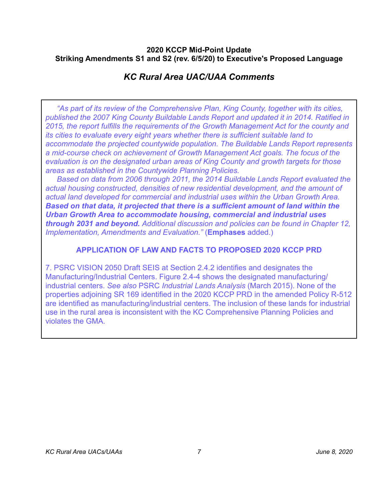# *KC Rural Area UAC/UAA Comments*

*"As part of its review of the Comprehensive Plan, King County, together with its cities, published the 2007 King County Buildable Lands Report and updated it in 2014. Ratified in 2015, the report fulfills the requirements of the Growth Management Act for the county and its cities to evaluate every eight years whether there is sufficient suitable land to accommodate the projected countywide population. The Buildable Lands Report represents a mid-course check on achievement of Growth Management Act goals. The focus of the evaluation is on the designated urban areas of King County and growth targets for those areas as established in the Countywide Planning Policies.* 

*Based on data from 2006 through 2011, the 2014 Buildable Lands Report evaluated the actual housing constructed, densities of new residential development, and the amount of actual land developed for commercial and industrial uses within the Urban Growth Area. Based on that data, it projected that there is a sufficient amount of land within the Urban Growth Area to accommodate housing, commercial and industrial uses through 2031 and beyond. Additional discussion and policies can be found in Chapter 12, Implementation, Amendments and Evaluation."* (**Emphases** added.)

## **APPLICATION OF LAW AND FACTS TO PROPOSED 2020 KCCP PRD**

7. PSRC VISION 2050 Draft SEIS at Section 2.4.2 identifies and designates the Manufacturing/Industrial Centers. Figure 2.4-4 shows the designated manufacturing/ industrial centers. *See also* PSRC *Industrial Lands Analysis* (March 2015). None of the properties adjoining SR 169 identified in the 2020 KCCP PRD in the amended Policy R-512 are identified as manufacturing/industrial centers. The inclusion of these lands for industrial use in the rural area is inconsistent with the KC Comprehensive Planning Policies and violates the GMA.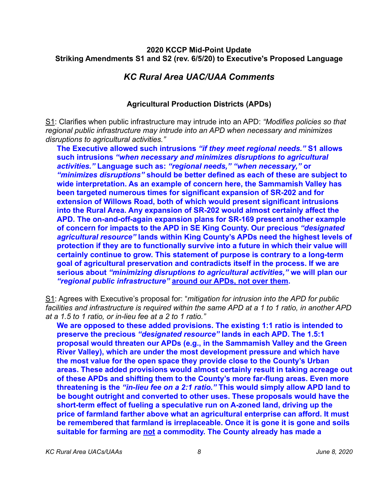## *KC Rural Area UAC/UAA Comments*

## <span id="page-7-0"></span>**Agricultural Production Districts (APDs)**

S1: Clarifies when public infrastructure may intrude into an APD: *"Modifies policies so that regional public infrastructure may intrude into an APD when necessary and minimizes disruptions to agricultural activities."* 

**The Executive allowed such intrusions** *"if they meet regional needs."* **S1 allows such intrusions** *"when necessary and minimizes disruptions to agricultural activities."* **Language such as:** *"regional needs," "when necessary,"* **or**  *"minimizes disruptions"* **should be better defined as each of these are subject to wide interpretation. As an example of concern here, the Sammamish Valley has been targeted numerous times for significant expansion of SR-202 and for extension of Willows Road, both of which would present significant intrusions into the Rural Area. Any expansion of SR-202 would almost certainly affect the APD. The on-and-off-again expansion plans for SR-169 present another example of concern for impacts to the APD in SE King County. Our precious** *"designated agricultural resource"* **lands within King County's APDs need the highest levels of protection if they are to functionally survive into a future in which their value will certainly continue to grow. This statement of purpose is contrary to a long-term goal of agricultural preservation and contradicts itself in the process. If we are serious about** *"minimizing disruptions to agricultural activities,"* **we will plan our**  *"regional public infrastructure"* **around our APDs, not over them.** 

S1: Agrees with Executive's proposal for: "*mitigation for intrusion into the APD for public facilities and infrastructure is required within the same APD at a 1 to 1 ratio, in another APD at a 1.5 to 1 ratio, or in-lieu fee at a 2 to 1 ratio."*

**We are opposed to these added provisions. The existing 1:1 ratio is intended to preserve the precious** *"designated resource"* **lands in each APD. The 1.5:1 proposal would threaten our APDs (e.g., in the Sammamish Valley and the Green River Valley), which are under the most development pressure and which have the most value for the open space they provide close to the County's Urban areas. These added provisions would almost certainly result in taking acreage out of these APDs and shifting them to the County's more far-flung areas. Even more threatening is the** *"in-lieu fee on a 2:1 ratio."* **This would simply allow APD land to be bought outright and converted to other uses. These proposals would have the short-term effect of fueling a speculative run on A-zoned land, driving up the price of farmland farther above what an agricultural enterprise can afford. It must be remembered that farmland is irreplaceable. Once it is gone it is gone and soils suitable for farming are not a commodity. The County already has made a**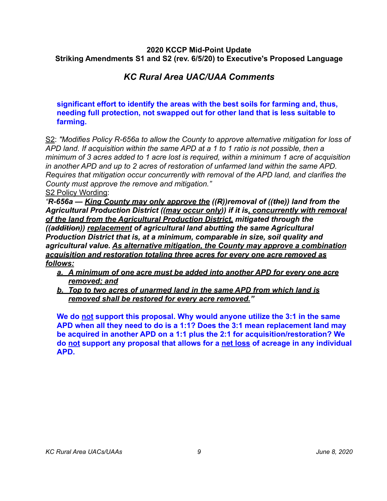# *KC Rural Area UAC/UAA Comments*

**significant effort to identify the areas with the best soils for farming and, thus, needing full protection, not swapped out for other land that is less suitable to farming.**

S2: *"Modifies Policy R-656a to allow the County to approve alternative mitigation for loss of APD land. If acquisition within the same APD at a 1 to 1 ratio is not possible, then a minimum of 3 acres added to 1 acre lost is required, within a minimum 1 acre of acquisition in another APD and up to 2 acres of restoration of unfarmed land within the same APD. Requires that mitigation occur concurrently with removal of the APD land, and clarifies the County must approve the remove and mitigation."* 

S2 Policy Wording:

*"R-656a — King County may only approve the ((R))removal of ((the)) land from the Agricultural Production District ((may occur only)) if it is, concurrently with removal of the land from the Agricultural Production District, mitigated through the ((addition)) replacement of agricultural land abutting the same Agricultural Production District that is, at a minimum, comparable in size, soil quality and agricultural value. As alternative mitigation, the County may approve a combination acquisition and restoration totaling three acres for every one acre removed as follows:*

- *a. A minimum of one acre must be added into another APD for every one acre removed; and*
- *b. Top to two acres of unarmed land in the same APD from which land is removed shall be restored for every acre removed."*

**We do not support this proposal. Why would anyone utilize the 3:1 in the same APD when all they need to do is a 1:1? Does the 3:1 mean replacement land may be acquired in another APD on a 1:1 plus the 2:1 for acquisition/restoration? We do not support any proposal that allows for a net loss of acreage in any individual APD.**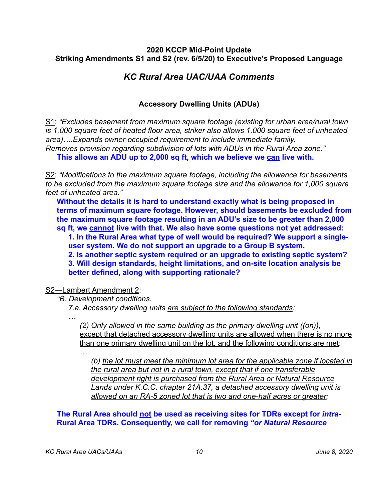# *KC Rural Area UAC/UAA Comments*

## <span id="page-9-0"></span>**Accessory Dwelling Units (ADUs)**

S1: *"Excludes basement from maximum square footage (existing for urban area/rural town is 1,000 square feet of heated floor area, striker also allows 1,000 square feet of unheated area)….Expands owner-occupied requirement to include immediate family.* 

*Removes provision regarding subdivision of lots with ADUs in the Rural Area zone."* 

**This allows an ADU up to 2,000 sq ft, which we believe we can live with.** 

S2: *"Modifications to the maximum square footage, including the allowance for basements to be excluded from the maximum square footage size and the allowance for 1,000 square feet of unheated area."*

**Without the details it is hard to understand exactly what is being proposed in terms of maximum square footage. However, should basements be excluded from the maximum square footage resulting in an ADU's size to be greater than 2,000 sq ft, we cannot live with that. We also have some questions not yet addressed:** 

**1. In the Rural Area what type of well would be required? We support a singleuser system. We do not support an upgrade to a Group B system.** 

**2. Is another septic system required or an upgrade to existing septic system?** 

**3. Will design standards, height limitations, and on-site location analysis be better defined, along with supporting rationale?** 

S2—Lambert Amendment 2:

*"B. Development conditions.* 

*7.a. Accessory dwelling units are subject to the following standards:* 

*…* 

*(2) Only allowed in the same building as the primary dwelling unit ((on)),*  except that detached accessory dwelling units are allowed when there is no more than one primary dwelling unit on the lot, and the following conditions are met: *…* 

*(b) the lot must meet the minimum lot area for the applicable zone if located in the rural area but not in a rural town, except that if one transferable development right is purchased from the Rural Area or Natural Resource Lands under K.C.C. chapter 21A.37, a detached accessory dwelling unit is allowed on an RA-5 zoned lot that is two and one-half acres or greater;*

## **The Rural Area should not be used as receiving sites for TDRs except for** *intra***-Rural Area TDRs. Consequently, we call for removing** *"or Natural Resource*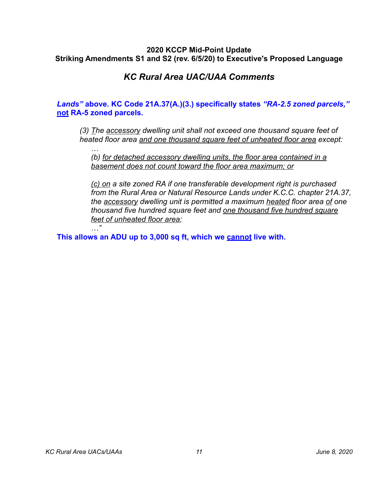# *KC Rural Area UAC/UAA Comments*

## *Lands"* **above. KC Code 21A.37(A.)(3.) specifically states** *"RA-2.5 zoned parcels,"* **not RA-5 zoned parcels.**

*(3) The accessory dwelling unit shall not exceed one thousand square feet of heated floor area and one thousand square feet of unheated floor area except:* 

*(b) for detached accessory dwelling units, the floor area contained in a basement does not count toward the floor area maximum; or* 

*(c) on a site zoned RA if one transferable development right is purchased from the Rural Area or Natural Resource Lands under K.C.C. chapter 21A.37, the accessory dwelling unit is permitted a maximum heated floor area of one thousand five hundred square feet and one thousand five hundred square feet of unheated floor area;* 

**This allows an ADU up to 3,000 sq ft, which we cannot live with.**

*…* 

*…"*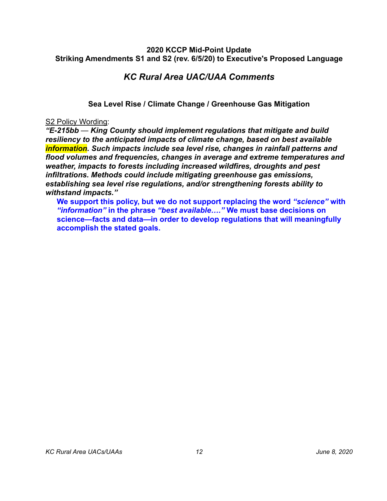## *KC Rural Area UAC/UAA Comments*

## <span id="page-11-0"></span>**Sea Level Rise / Climate Change / Greenhouse Gas Mitigation**

#### S2 Policy Wording:

*"E-215bb — King County should implement regulations that mitigate and build resiliency to the anticipated impacts of climate change, based on best available information. Such impacts include sea level rise, changes in rainfall patterns and flood volumes and frequencies, changes in average and extreme temperatures and weather, impacts to forests including increased wildfires, droughts and pest infiltrations. Methods could include mitigating greenhouse gas emissions, establishing sea level rise regulations, and/or strengthening forests ability to withstand impacts."*

**We support this policy, but we do not support replacing the word** *"science"* **with**  *"information"* **in the phrase** *"best available…."* **We must base decisions on science—facts and data—in order to develop regulations that will meaningfully accomplish the stated goals.**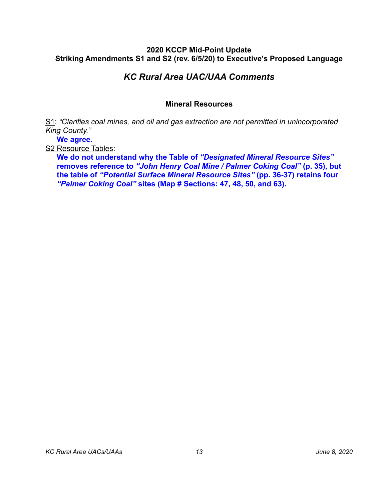# *KC Rural Area UAC/UAA Comments*

### <span id="page-12-0"></span>**Mineral Resources**

S1: *"Clarifies coal mines, and oil and gas extraction are not permitted in unincorporated King County."*

**We agree.** 

S2 Resource Tables:

**We do not understand why the Table of** *"Designated Mineral Resource Sites"*  **removes reference to** *"John Henry Coal Mine / Palmer Coking Coal"* **(p. 35), but the table of** *"Potential Surface Mineral Resource Sites"* **(pp. 36-37) retains four**  *"Palmer Coking Coal"* **sites (Map # Sections: 47, 48, 50, and 63).**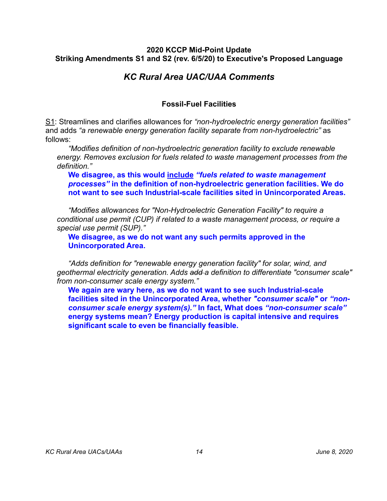# *KC Rural Area UAC/UAA Comments*

## <span id="page-13-0"></span>**Fossil-Fuel Facilities**

S1: Streamlines and clarifies allowances for *"non-hydroelectric energy generation facilities"* and adds *"a renewable energy generation facility separate from non-hydroelectric"* as follows:

*"Modifies definition of non-hydroelectric generation facility to exclude renewable energy. Removes exclusion for fuels related to waste management processes from the definition."* 

**We disagree, as this would include** *"fuels related to waste management processes"* **in the definition of non-hydroelectric generation facilities. We do not want to see such Industrial-scale facilities sited in Unincorporated Areas.** 

*"Modifies allowances for "Non-Hydroelectric Generation Facility" to require a conditional use permit (CUP) if related to a waste management process, or require a special use permit (SUP)."* 

**We disagree, as we do not want any such permits approved in the Unincorporated Area.** 

*"Adds definition for "renewable energy generation facility" for solar, wind, and geothermal electricity generation. Adds add a definition to differentiate "consumer scale" from non-consumer scale energy system."* 

**We again are wary here, as we do not want to see such Industrial-scale facilities sited in the Unincorporated Area, whether** *"consumer scale"* **or** *"nonconsumer scale energy system(s)."* **In fact, What does** *"non-consumer scale"* **energy systems mean? Energy production is capital intensive and requires significant scale to even be financially feasible.**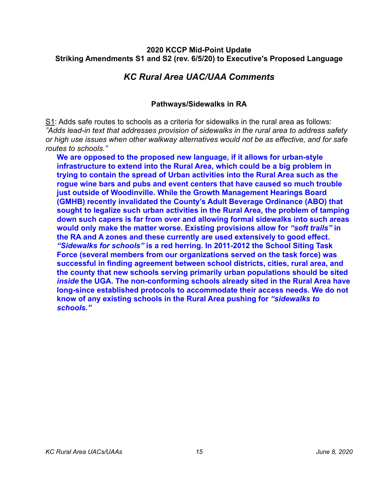## *KC Rural Area UAC/UAA Comments*

## <span id="page-14-0"></span>**Pathways/Sidewalks in RA**

S1: Adds safe routes to schools as a criteria for sidewalks in the rural area as follows: *"Adds lead-in text that addresses provision of sidewalks in the rural area to address safety or high use issues when other walkway alternatives would not be as effective, and for safe routes to schools."*

**We are opposed to the proposed new language, if it allows for urban-style infrastructure to extend into the Rural Area, which could be a big problem in trying to contain the spread of Urban activities into the Rural Area such as the rogue wine bars and pubs and event centers that have caused so much trouble just outside of Woodinville. While the Growth Management Hearings Board (GMHB) recently invalidated the County's Adult Beverage Ordinance (ABO) that sought to legalize such urban activities in the Rural Area, the problem of tamping down such capers is far from over and allowing formal sidewalks into such areas would only make the matter worse. Existing provisions allow for** *"soft trails"* **in the RA and A zones and these currently are used extensively to good effect.**  *"Sidewalks for schools"* **is a red herring. In 2011-2012 the School Siting Task Force (several members from our organizations served on the task force) was successful in finding agreement between school districts, cities, rural area, and the county that new schools serving primarily urban populations should be sited**  *inside* **the UGA. The non-conforming schools already sited in the Rural Area have long-since established protocols to accommodate their access needs. We do not know of any existing schools in the Rural Area pushing for** *"sidewalks to schools."*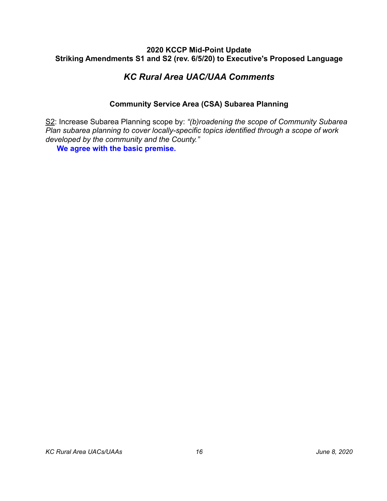# *KC Rural Area UAC/UAA Comments*

## <span id="page-15-0"></span>**Community Service Area (CSA) Subarea Planning**

S2: Increase Subarea Planning scope by: *"(b)roadening the scope of Community Subarea Plan subarea planning to cover locally-specific topics identified through a scope of work developed by the community and the County."*

**We agree with the basic premise.**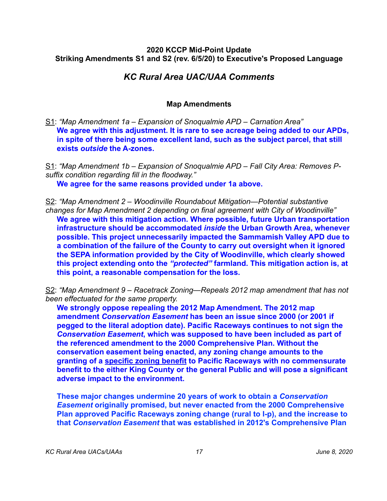## *KC Rural Area UAC/UAA Comments*

## <span id="page-16-0"></span>**Map Amendments**

S1: *"Map Amendment 1a – Expansion of Snoqualmie APD – Carnation Area"*  **We agree with this adjustment. It is rare to see acreage being added to our APDs, in spite of there being some excellent land, such as the subject parcel, that still exists** *outside* **the A-zones.**

S1: *"Map Amendment 1b – Expansion of Snoqualmie APD – Fall City Area: Removes Psuffix condition regarding fill in the floodway."*  **We agree for the same reasons provided under 1a above.** 

S2: *"Map Amendment 2 – Woodinville Roundabout Mitigation—Potential substantive changes for Map Amendment 2 depending on final agreement with City of Woodinville"*  **We agree with this mitigation action. Where possible, future Urban transportation infrastructure should be accommodated** *inside* **the Urban Growth Area, whenever possible. This project unnecessarily impacted the Sammamish Valley APD due to a combination of the failure of the County to carry out oversight when it ignored the SEPA information provided by the City of Woodinville, which clearly showed this project extending onto the** *"protected"* **farmland. This mitigation action is, at this point, a reasonable compensation for the loss.**

S2: *"Map Amendment 9 – Racetrack Zoning—Repeals 2012 map amendment that has not been effectuated for the same property.*

**We strongly oppose repealing the 2012 Map Amendment. The 2012 map amendment** *Conservation Easement* **has been an issue since 2000 (or 2001 if pegged to the literal adoption date). Pacific Raceways continues to not sign the**  *Conservation Easement***, which was supposed to have been included as part of the referenced amendment to the 2000 Comprehensive Plan. Without the conservation easement being enacted, any zoning change amounts to the granting of a specific zoning benefit to Pacific Raceways with no commensurate benefit to the either King County or the general Public and will pose a significant adverse impact to the environment.** 

**These major changes undermine 20 years of work to obtain a** *Conservation Easement* **originally promised, but never enacted from the 2000 Comprehensive Plan approved Pacific Raceways zoning change (rural to I-p), and the increase to that** *Conservation Easement* **that was established in 2012's Comprehensive Plan**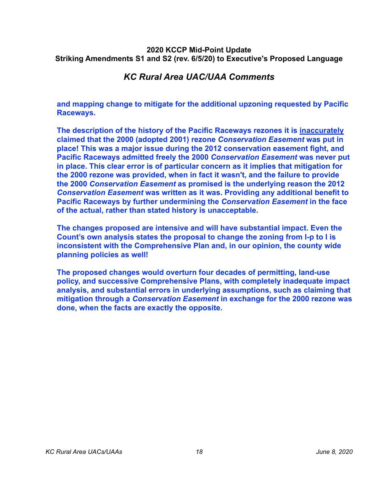## *KC Rural Area UAC/UAA Comments*

**and mapping change to mitigate for the additional upzoning requested by Pacific Raceways.**

**The description of the history of the Pacific Raceways rezones it is inaccurately claimed that the 2000 (adopted 2001) rezone** *Conservation Easement* **was put in place! This was a major issue during the 2012 conservation easement fight, and Pacific Raceways admitted freely the 2000** *Conservation Easement* **was never put in place. This clear error is of particular concern as it implies that mitigation for the 2000 rezone was provided, when in fact it wasn't, and the failure to provide the 2000** *Conservation Easement* **as promised is the underlying reason the 2012**  *Conservation Easement* **was written as it was. Providing any additional benefit to Pacific Raceways by further undermining the** *Conservation Easement* **in the face of the actual, rather than stated history is unacceptable.**

**The changes proposed are intensive and will have substantial impact. Even the Count's own analysis states the proposal to change the zoning from I-p to I is inconsistent with the Comprehensive Plan and, in our opinion, the county wide planning policies as well!**

**The proposed changes would overturn four decades of permitting, land-use policy, and successive Comprehensive Plans, with completely inadequate impact analysis, and substantial errors in underlying assumptions, such as claiming that mitigation through a** *Conservation Easement* **in exchange for the 2000 rezone was done, when the facts are exactly the opposite.**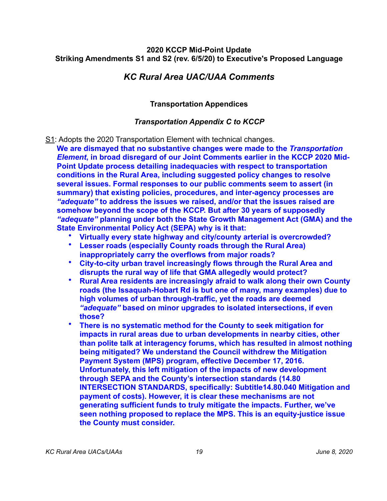## *KC Rural Area UAC/UAA Comments*

## <span id="page-18-0"></span>**Transportation Appendices**

## *Transportation Appendix C to KCCP*

- S1: Adopts the 2020 Transportation Element with technical changes.
- **We are dismayed that no substantive changes were made to the** *Transportation Element***, in broad disregard of our Joint Comments earlier in the KCCP 2020 Mid-Point Update process detailing inadequacies with respect to transportation conditions in the Rural Area, including suggested policy changes to resolve several issues. Formal responses to our public comments seem to assert (in summary) that existing policies, procedures, and inter-agency processes are**  *"adequate"* **to address the issues we raised, and/or that the issues raised are somehow beyond the scope of the KCCP. But after 30 years of supposedly**  *"adequate"* **planning under both the State Growth Management Act (GMA) and the State Environmental Policy Act (SEPA) why is it that:** 
	- **Virtually every state highway and city/county arterial is overcrowded?**
	- **Lesser roads (especially County roads through the Rural Area) inappropriately carry the overflows from major roads?**
	- **City-to-city urban travel increasingly flows through the Rural Area and disrupts the rural way of life that GMA allegedly would protect?**
	- **Rural Area residents are increasingly afraid to walk along their own County roads (the Issaquah-Hobart Rd is but one of many, many examples) due to high volumes of urban through-traffic, yet the roads are deemed**  *"adequate"* **based on minor upgrades to isolated intersections, if even those?**
	- **There is no systematic method for the County to seek mitigation for impacts in rural areas due to urban developments in nearby cities, other than polite talk at interagency forums, which has resulted in almost nothing being mitigated? We understand the Council withdrew the Mitigation Payment System (MPS) program, effective December 17, 2016. Unfortunately, this left mitigation of the impacts of new development through SEPA and the County's intersection standards (14.80 INTERSECTION STANDARDS, specifically: Subtitle14.80.040 Mitigation and payment of costs). However, it is clear these mechanisms are not generating sufficient funds to truly mitigate the impacts. Further, we've seen nothing proposed to replace the MPS. This is an equity-justice issue the County must consider.**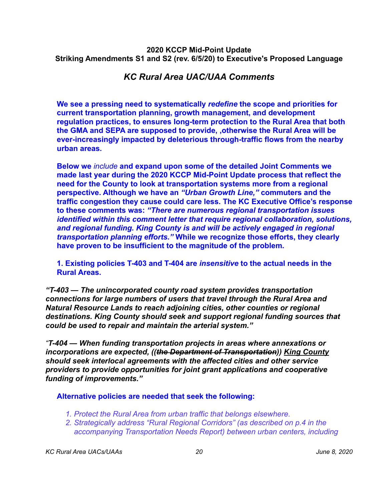## *KC Rural Area UAC/UAA Comments*

**We see a pressing need to systematically** *redefine* **the scope and priorities for current transportation planning, growth management, and development regulation practices, to ensures long-term protection to the Rural Area that both the GMA and SEPA are supposed to provide, ,otherwise the Rural Area will be ever-increasingly impacted by deleterious through-traffic flows from the nearby urban areas.** 

**Below we** *include* **and expand upon some of the detailed Joint Comments we made last year during the 2020 KCCP Mid-Point Update process that reflect the need for the County to look at transportation systems more from a regional perspective. Although we have an** *"Urban Growth Line,"* **commuters and the traffic congestion they cause could care less. The KC Executive Office's response to these comments was:** *"There are numerous regional transportation issues identified within this comment letter that require regional collaboration, solutions, and regional funding. King County is and will be actively engaged in regional transportation planning efforts."* **While we recognize those efforts, they clearly have proven to be insufficient to the magnitude of the problem.**

**1. Existing policies T-403 and T-404 are** *insensitive* **to the actual needs in the Rural Areas.** 

*"T-403 — The unincorporated county road system provides transportation connections for large numbers of users that travel through the Rural Area and Natural Resource Lands to reach adjoining cities, other counties or regional destinations. King County should seek and support regional funding sources that could be used to repair and maintain the arterial system."*

*"T-404 — When funding transportation projects in areas where annexations or incorporations are expected, ((the Department of Transportation)) King County should seek interlocal agreements with the affected cities and other service providers to provide opportunities for joint grant applications and cooperative funding of improvements."*

### **Alternative policies are needed that seek the following:**

- *1. Protect the Rural Area from urban traffic that belongs elsewhere.*
- *2. Strategically address "Rural Regional Corridors" (as described on p.4 in the accompanying Transportation Needs Report) between urban centers, including*

*KC Rural Area UACs/UAAs 20 June 8, 2020*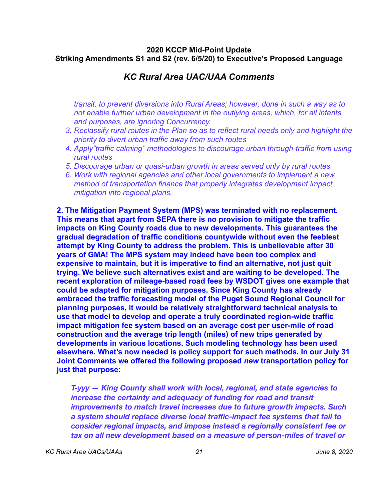## *KC Rural Area UAC/UAA Comments*

*transit, to prevent diversions into Rural Areas; however, done in such a way as to not enable further urban development in the outlying areas, which, for all intents and purposes, are ignoring Concurrency.* 

- *3. Reclassify rural routes in the Plan so as to reflect rural needs only and highlight the priority to divert urban traffic away from such routes*
- *4. Apply"traffic calming" methodologies to discourage urban through-traffic from using rural routes*
- *5. Discourage urban or quasi-urban growth in areas served only by rural routes*
- *6. Work with regional agencies and other local governments to implement a new method of transportation finance that properly integrates development impact mitigation into regional plans.*

**2. The Mitigation Payment System (MPS) was terminated with no replacement. This means that apart from SEPA there is no provision to mitigate the traffic impacts on King County roads due to new developments. This guarantees the gradual degradation of traffic conditions countywide without even the feeblest attempt by King County to address the problem. This is unbelievable after 30 years of GMA! The MPS system may indeed have been too complex and expensive to maintain, but it is imperative to find an alternative, not just quit trying. We believe such alternatives exist and are waiting to be developed. The recent exploration of mileage-based road fees by WSDOT gives one example that could be adapted for mitigation purposes. Since King County has already embraced the traffic forecasting model of the Puget Sound Regional Council for planning purposes, it would be relatively straightforward technical analysis to use that model to develop and operate a truly coordinated region-wide traffic impact mitigation fee system based on an average cost per user-mile of road construction and the average trip length (miles) of new trips generated by developments in various locations. Such modeling technology has been used elsewhere. What's now needed is policy support for such methods. In our July 31 Joint Comments we offered the following proposed** *new* **transportation policy for just that purpose:** 

*T-yyy — King County shall work with local, regional, and state agencies to increase the certainty and adequacy of funding for road and transit improvements to match travel increases due to future growth impacts. Such a system should replace diverse local traffic-impact fee systems that fail to consider regional impacts, and impose instead a regionally consistent fee or tax on all new development based on a measure of person-miles of travel or*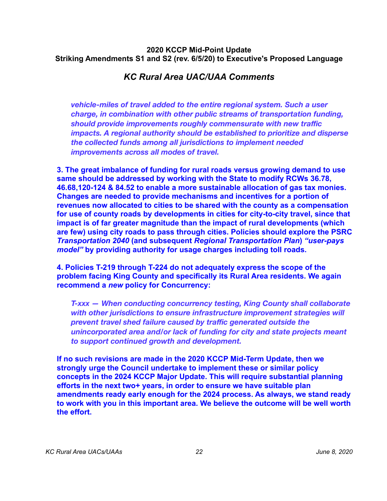## *KC Rural Area UAC/UAA Comments*

*vehicle-miles of travel added to the entire regional system. Such a user charge, in combination with other public streams of transportation funding, should provide improvements roughly commensurate with new traffic impacts. A regional authority should be established to prioritize and disperse the collected funds among all jurisdictions to implement needed improvements across all modes of travel.* 

**3. The great imbalance of funding for rural roads versus growing demand to use same should be addressed by working with the State to modify RCWs 36.78, 46.68,120-124 & 84.52 to enable a more sustainable allocation of gas tax monies. Changes are needed to provide mechanisms and incentives for a portion of revenues now allocated to cities to be shared with the county as a compensation for use of county roads by developments in cities for city-to-city travel, since that impact is of far greater magnitude than the impact of rural developments (which are few) using city roads to pass through cities. Policies should explore the PSRC**  *Transportation 2040* **(and subsequent** *Regional Transportation Plan***)** *"user-pays model"* **by providing authority for usage charges including toll roads.** 

**4. Policies T-219 through T-224 do not adequately express the scope of the problem facing King County and specifically its Rural Area residents. We again recommend a** *new* **policy for Concurrency:** 

*T-xxx — When conducting concurrency testing, King County shall collaborate with other jurisdictions to ensure infrastructure improvement strategies will prevent travel shed failure caused by traffic generated outside the unincorporated area and/or lack of funding for city and state projects meant to support continued growth and development.* 

**If no such revisions are made in the 2020 KCCP Mid-Term Update, then we strongly urge the Council undertake to implement these or similar policy concepts in the 2024 KCCP Major Update. This will require substantial planning efforts in the next two+ years, in order to ensure we have suitable plan amendments ready early enough for the 2024 process. As always, we stand ready to work with you in this important area. We believe the outcome will be well worth the effort.**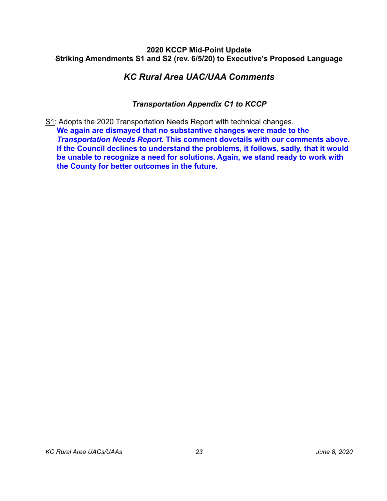## *KC Rural Area UAC/UAA Comments*

## *Transportation Appendix C1 to KCCP*

S1: Adopts the 2020 Transportation Needs Report with technical changes. **We again are dismayed that no substantive changes were made to the**  *Transportation Needs Report***. This comment dovetails with our comments above. If the Council declines to understand the problems, it follows, sadly, that it would be unable to recognize a need for solutions. Again, we stand ready to work with the County for better outcomes in the future.**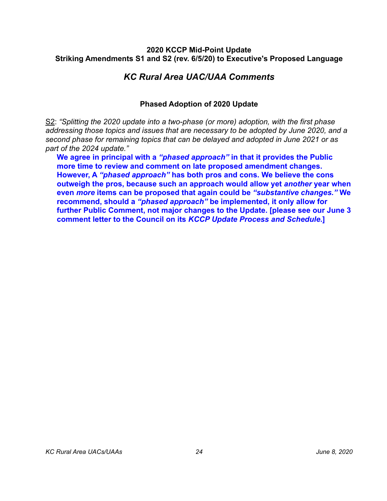## *KC Rural Area UAC/UAA Comments*

## <span id="page-23-0"></span>**Phased Adoption of 2020 Update**

S2: *"Splitting the 2020 update into a two-phase (or more) adoption, with the first phase addressing those topics and issues that are necessary to be adopted by June 2020, and a second phase for remaining topics that can be delayed and adopted in June 2021 or as part of the 2024 update."*

**We agree in principal with a** *"phased approach"* **in that it provides the Public more time to review and comment on late proposed amendment changes. However, A** *"phased approach"* **has both pros and cons. We believe the cons outweigh the pros, because such an approach would allow yet** *another* **year when even** *more* **items can be proposed that again could be** *"substantive changes."* **We recommend, should a** *"phased approach"* **be implemented, it only allow for further Public Comment, not major changes to the Update. [please see our June 3 comment letter to the Council on its** *KCCP Update Process and Schedule***.]**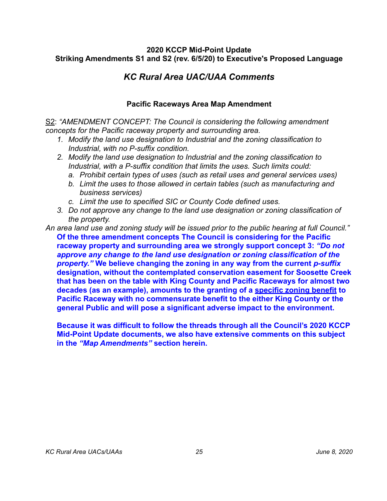# *KC Rural Area UAC/UAA Comments*

## <span id="page-24-0"></span>**Pacific Raceways Area Map Amendment**

S2: *"AMENDMENT CONCEPT: The Council is considering the following amendment concepts for the Pacific raceway property and surrounding area.*

- *1. Modify the land use designation to Industrial and the zoning classification to Industrial, with no P-suffix condition.*
- *2. Modify the land use designation to Industrial and the zoning classification to Industrial, with a P-suffix condition that limits the uses. Such limits could:* 
	- *a. Prohibit certain types of uses (such as retail uses and general services uses)*
	- *b. Limit the uses to those allowed in certain tables (such as manufacturing and business services)*
	- *c. Limit the use to specified SIC or County Code defined uses.*
- *3. Do not approve any change to the land use designation or zoning classification of the property.*
- *An area land use and zoning study will be issued prior to the public hearing at full Council."*  **Of the three amendment concepts The Council is considering for the Pacific raceway property and surrounding area we strongly support concept 3:** *"Do not approve any change to the land use designation or zoning classification of the property."* **We believe changing the zoning in any way from the current** *p-suffix* **designation, without the contemplated conservation easement for Soosette Creek that has been on the table with King County and Pacific Raceways for almost two decades (as an example), amounts to the granting of a specific zoning benefit to Pacific Raceway with no commensurate benefit to the either King County or the general Public and will pose a significant adverse impact to the environment.**

**Because it was difficult to follow the threads through all the Council's 2020 KCCP Mid-Point Update documents, we also have extensive comments on this subject in the** *"Map Amendments"* **section herein.**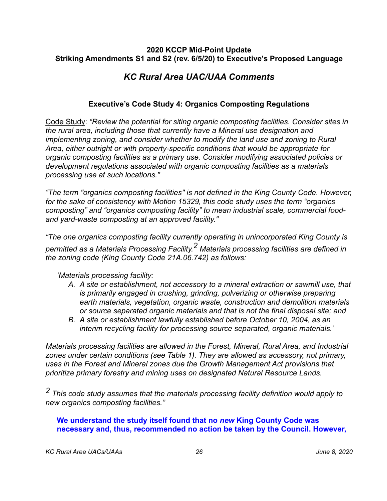# *KC Rural Area UAC/UAA Comments*

## <span id="page-25-0"></span>**Executive's Code Study 4: Organics Composting Regulations**

Code Study: *"Review the potential for siting organic composting facilities. Consider sites in the rural area, including those that currently have a Mineral use designation and implementing zoning, and consider whether to modify the land use and zoning to Rural Area, either outright or with property-specific conditions that would be appropriate for organic composting facilities as a primary use. Consider modifying associated policies or development regulations associated with organic composting facilities as a materials processing use at such locations."*

*"The term "organics composting facilities" is not defined in the King County Code. However, for the sake of consistency with Motion 15329, this code study uses the term "organics composting" and "organics composting facility" to mean industrial scale, commercial foodand yard-waste composting at an approved facility."*

*"The one organics composting facility currently operating in unincorporated King County is* 

*permitted as a Materials Processing Facility.2 Materials processing facilities are defined in the zoning code (King County Code 21A.06.742) as follows:*

### *'Materials processing facility:*

- *A. A site or establishment, not accessory to a mineral extraction or sawmill use, that is primarily engaged in crushing, grinding, pulverizing or otherwise preparing earth materials, vegetation, organic waste, construction and demolition materials or source separated organic materials and that is not the final disposal site; and*
- *B. A site or establishment lawfully established before October 10, 2004, as an interim recycling facility for processing source separated, organic materials.'*

*Materials processing facilities are allowed in the Forest, Mineral, Rural Area, and Industrial zones under certain conditions (see Table 1). They are allowed as accessory, not primary, uses in the Forest and Mineral zones due the Growth Management Act provisions that prioritize primary forestry and mining uses on designated Natural Resource Lands.*

*2 This code study assumes that the materials processing facility definition would apply to new organics composting facilities."* 

### **We understand the study itself found that no** *new* **King County Code was necessary and, thus, recommended no action be taken by the Council. However,**

*KC Rural Area UACs/UAAs 26 June 8, 2020*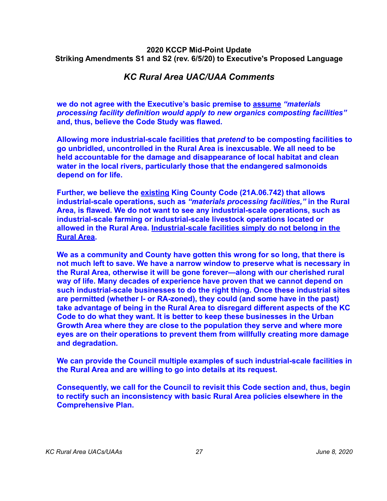## *KC Rural Area UAC/UAA Comments*

**we do not agree with the Executive's basic premise to assume** *"materials processing facility definition would apply to new organics composting facilities"* **and, thus, believe the Code Study was flawed.** 

**Allowing more industrial-scale facilities that** *pretend* **to be composting facilities to go unbridled, uncontrolled in the Rural Area is inexcusable. We all need to be held accountable for the damage and disappearance of local habitat and clean water in the local rivers, particularly those that the endangered salmonoids depend on for life.** 

**Further, we believe the existing King County Code (21A.06.742) that allows industrial-scale operations, such as** *"materials processing facilities,"* **in the Rural Area, is flawed. We do not want to see any industrial-scale operations, such as industrial-scale farming or industrial-scale livestock operations located or allowed in the Rural Area. Industrial-scale facilities simply do not belong in the Rural Area.** 

**We as a community and County have gotten this wrong for so long, that there is not much left to save. We have a narrow window to preserve what is necessary in the Rural Area, otherwise it will be gone forever—along with our cherished rural way of life. Many decades of experience have proven that we cannot depend on such industrial-scale businesses to do the right thing. Once these industrial sites are permitted (whether I- or RA-zoned), they could (and some have in the past) take advantage of being in the Rural Area to disregard different aspects of the KC Code to do what they want. It is better to keep these businesses in the Urban Growth Area where they are close to the population they serve and where more eyes are on their operations to prevent them from willfully creating more damage and degradation.** 

**We can provide the Council multiple examples of such industrial-scale facilities in the Rural Area and are willing to go into details at its request.** 

**Consequently, we call for the Council to revisit this Code section and, thus, begin to rectify such an inconsistency with basic Rural Area policies elsewhere in the Comprehensive Plan.**